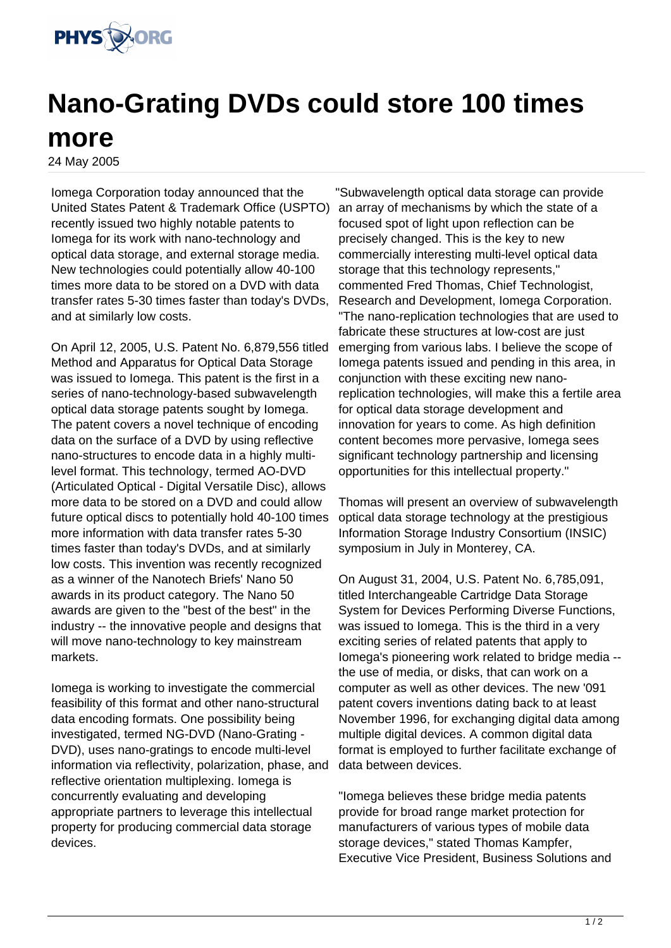

## **Nano-Grating DVDs could store 100 times more**

24 May 2005

Iomega Corporation today announced that the United States Patent & Trademark Office (USPTO) recently issued two highly notable patents to Iomega for its work with nano-technology and optical data storage, and external storage media. New technologies could potentially allow 40-100 times more data to be stored on a DVD with data transfer rates 5-30 times faster than today's DVDs, and at similarly low costs.

On April 12, 2005, U.S. Patent No. 6,879,556 titled Method and Apparatus for Optical Data Storage was issued to Iomega. This patent is the first in a series of nano-technology-based subwavelength optical data storage patents sought by Iomega. The patent covers a novel technique of encoding data on the surface of a DVD by using reflective nano-structures to encode data in a highly multilevel format. This technology, termed AO-DVD (Articulated Optical - Digital Versatile Disc), allows more data to be stored on a DVD and could allow future optical discs to potentially hold 40-100 times more information with data transfer rates 5-30 times faster than today's DVDs, and at similarly low costs. This invention was recently recognized as a winner of the Nanotech Briefs' Nano 50 awards in its product category. The Nano 50 awards are given to the "best of the best" in the industry -- the innovative people and designs that will move nano-technology to key mainstream markets.

Iomega is working to investigate the commercial feasibility of this format and other nano-structural data encoding formats. One possibility being investigated, termed NG-DVD (Nano-Grating - DVD), uses nano-gratings to encode multi-level information via reflectivity, polarization, phase, and reflective orientation multiplexing. Iomega is concurrently evaluating and developing appropriate partners to leverage this intellectual property for producing commercial data storage devices.

"Subwavelength optical data storage can provide an array of mechanisms by which the state of a focused spot of light upon reflection can be precisely changed. This is the key to new commercially interesting multi-level optical data storage that this technology represents," commented Fred Thomas, Chief Technologist, Research and Development, Iomega Corporation. "The nano-replication technologies that are used to fabricate these structures at low-cost are just emerging from various labs. I believe the scope of Iomega patents issued and pending in this area, in conjunction with these exciting new nanoreplication technologies, will make this a fertile area for optical data storage development and innovation for years to come. As high definition content becomes more pervasive, Iomega sees significant technology partnership and licensing opportunities for this intellectual property."

Thomas will present an overview of subwavelength optical data storage technology at the prestigious Information Storage Industry Consortium (INSIC) symposium in July in Monterey, CA.

On August 31, 2004, U.S. Patent No. 6,785,091, titled Interchangeable Cartridge Data Storage System for Devices Performing Diverse Functions, was issued to Iomega. This is the third in a very exciting series of related patents that apply to Iomega's pioneering work related to bridge media - the use of media, or disks, that can work on a computer as well as other devices. The new '091 patent covers inventions dating back to at least November 1996, for exchanging digital data among multiple digital devices. A common digital data format is employed to further facilitate exchange of data between devices.

"Iomega believes these bridge media patents provide for broad range market protection for manufacturers of various types of mobile data storage devices," stated Thomas Kampfer, Executive Vice President, Business Solutions and